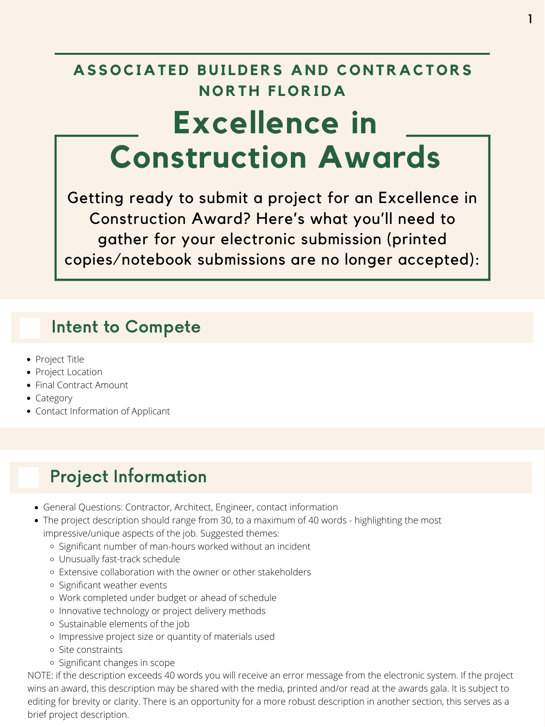## **A S S O CI A T ED BUI LDERS A N D C O N TR A CT O RS N O RT H F L O RID A Excellence in Construction Awards**

- General Questions: Contractor, Architect, Engineer, contact information
- The project description should range from 30, to a maximum of 40 words highlighting the most impressive/unique aspects of the job. Suggested themes:
	- o Significant number of man-hours worked without an incident
	- Unusually fast-track schedule
	- Extensive collaboration with the owner or other stakeholders
	- o Significant weather events
	- Work completed under budget or ahead of schedule
	- o Innovative technology or project delivery methods
	- Sustainable elements of the job
	- o Impressive project size or quantity of materials used
	- Site constraints
	- o Significant changes in scope

Getting ready to submit a project for an Excellence in Construction Award? Here's what you'll need to gather for your electronic submission (printed copies/notebook submissions are no longer accepted):

#### Project Information

- Project Title
- Project Location
- Final Contract Amount
- Category
- Contact Information of Applicant

NOTE: if the description exceeds 40 words you will receive an error message from the electronic system. If the project wins an award, this description may be shared with the media, printed and/or read at the awards gala. It is subject to editing for brevity or clarity. There is an opportunity for a more robust description in another section, this serves as a brief project description.

#### Intent to Compete

1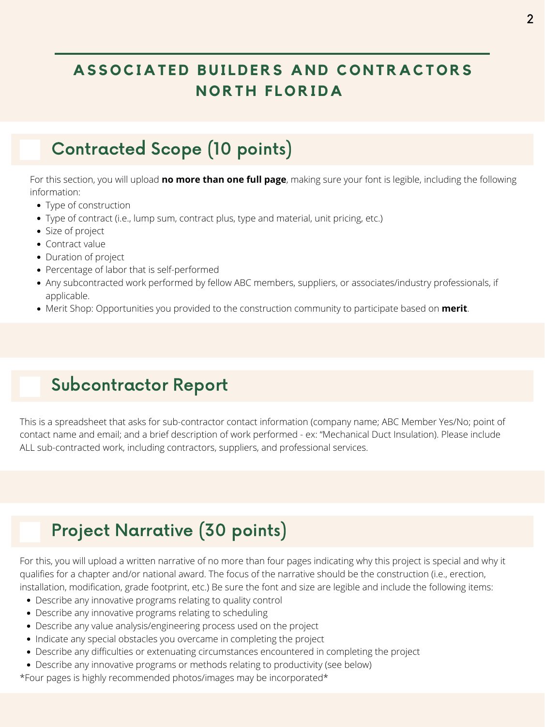#### Contracted Scope (10 points)

- Type of construction
- Type of contract (i.e., lump sum, contract plus, type and material, unit pricing, etc.)
- Size of project
- Contract value
- Duration of project
- Percentage of labor that is self-performed
- Any subcontracted work performed by fellow ABC members, suppliers, or associates/industry professionals, if applicable.
- Merit Shop: Opportunities you provided to the construction community to participate based on **merit**.



For this section, you will upload **no more than one full page**, making sure your font is legible, including the following information:

## Subcontractor Report

This is a spreadsheet that asks for sub-contractor contact information (company name; ABC Member Yes/No; point of contact name and email; and a brief description of work performed - ex: "Mechanical Duct Insulation). Please include ALL sub-contracted work, including contractors, suppliers, and professional services.

## Project Narrative (30 points)

- Describe any innovative programs relating to quality control
- Describe any innovative programs relating to scheduling
- Describe any value analysis/engineering process used on the project
- Indicate any special obstacles you overcame in completing the project
- Describe any difficulties or extenuating circumstances encountered in completing the project
- Describe any innovative programs or methods relating to productivity (see below)

For this, you will upload a written narrative of no more than four pages indicating why this project is special and why it qualifies for a chapter and/or national award. The focus of the narrative should be the construction (i.e., erection, installation, modification, grade footprint, etc.) Be sure the font and size are legible and include the following items:

\*Four pages is highly recommended photos/images may be incorporated\*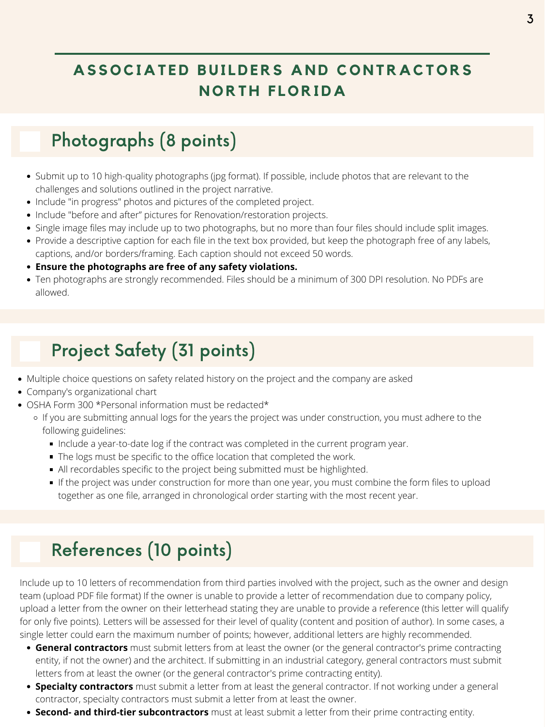## Project Safety (31 points)

- Multiple choice questions on safety related history on the project and the company are asked
- Company's organizational chart
- OSHA Form 300 \*Personal information must be redacted\*
	- o If you are submitting annual logs for the years the project was under construction, you must adhere to the following guidelines:
		- Include a year-to-date log if the contract was completed in the current program year.
		- The logs must be specific to the office location that completed the work.
		- All recordables specific to the project being submitted must be highlighted.
		- If the project was under construction for more than one year, you must combine the form files to upload together as one file, arranged in chronological order starting with the most recent year.

## References (10 points)

Include up to 10 letters of recommendation from third parties involved with the project, such as the owner and design team (upload PDF file format) If the owner is unable to provide a letter of recommendation due to company policy, upload a letter from the owner on their letterhead stating they are unable to provide a reference (this letter will qualify for only five points). Letters will be assessed for their level of quality (content and position of author). In some cases, a single letter could earn the maximum number of points; however, additional letters are highly recommended.

- Submit up to 10 high-quality photographs (jpg format). If possible, include photos that are relevant to the challenges and solutions outlined in the project narrative.
- Include "in progress" photos and pictures of the completed project.
- Include "before and after" pictures for Renovation/restoration projects.
- Single image files may include up to two photographs, but no more than four files should include split images.
- Provide a descriptive caption for each file in the text box provided, but keep the photograph free of any labels, captions, and/or borders/framing. Each caption should not exceed 50 words.
- **Ensure the photographs are free of any safety violations.**
- Ten photographs are strongly recommended. Files should be a minimum of 300 DPI resolution. No PDFs are allowed.

- **General contractors** must submit letters from at least the owner (or the general contractor's prime contracting entity, if not the owner) and the architect. If submitting in an industrial category, general contractors must submit letters from at least the owner (or the general contractor's prime contracting entity).
- **Specialty contractors** must submit a letter from at least the general contractor. If not working under a general contractor, specialty contractors must submit a letter from at least the owner.
- **Second- and third-tier subcontractors** must at least submit a letter from their prime contracting entity.

#### Photographs (8 points)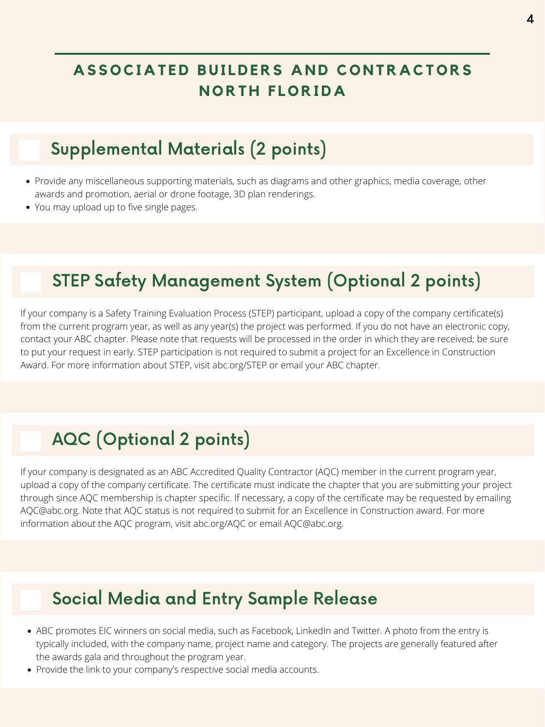#### Supplemental Materials (2 points)

- Provide any miscellaneous supporting materials, such as diagrams and other graphics, media coverage, other awards and promotion, aerial or drone footage, 3D plan renderings.
- You may upload up to five single pages.

- ABC promotes EIC winners on social media, such as Facebook, LinkedIn and Twitter. A photo from the entry is typically included, with the company name, project name and category. The projects are generally featured after the awards gala and throughout the program year.
- Provide the link to your company's respective social media accounts.

#### Social Media and Entry Sample Release

## STEP Safety Management System (Optional 2 points)

If your company is a Safety Training Evaluation Process (STEP) participant, upload a copy of the company certificate(s) from the current program year, as well as any year(s) the project was performed. If you do not have an electronic copy, contact your ABC chapter. Please note that requests will be processed in the order in which they are received; be sure to put your request in early. STEP participation is not required to submit a project for an Excellence in Construction Award. For more information about STEP, visit [abc.org/STEP](http://www.abc.org/step) or email your ABC chapter.

#### AQC (Optional 2 points)

If your company is designated as an ABC Accredited Quality Contractor (AQC) member in the current program year, upload a copy of the company certificate. The certificate must indicate the chapter that you are submitting your project through since AQC membership is chapter specific. If necessary, a copy of the certificate may be requested by emailing [AQC@abc.org](mailto:aqc@abc.org?subject=Requesting%20an%20AQC%20Certificate%20for%20EIC). Note that AQC status is not required to submit for an Excellence in Construction award. For more information about the AQC program, visit [abc.org/AQC](http://www.abc.org/aqc) or email [AQC@abc.org](mailto:AQC@abc.org).